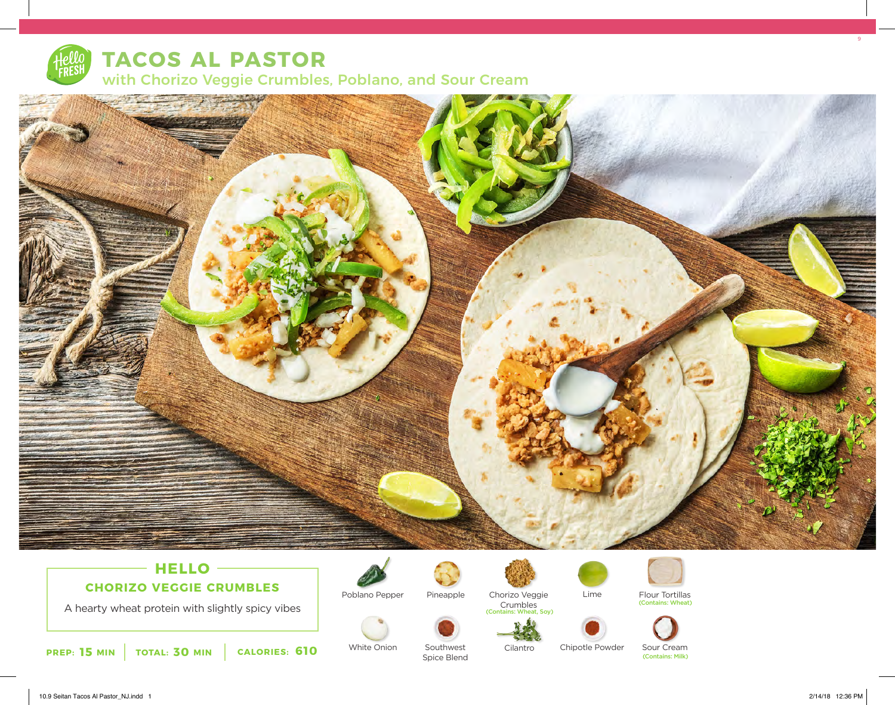

# **TACOS AL PASTOR** with Chorizo Veggie Crumbles, Poblano, and Sour Cream



## **HELLO CHORIZO VEGGIE CRUMBLES**

A hearty wheat protein with slightly spicy vibes



White Onion Southwest



Poblano Pepper



Pineapple Chorizo Veggie Lime Flour Tortillas Crumbles



Spice Blend

Soy)





(Contains: Wheat)



Cilantro Chipotle Powder Sour Cream

(Contains: Milk)

9